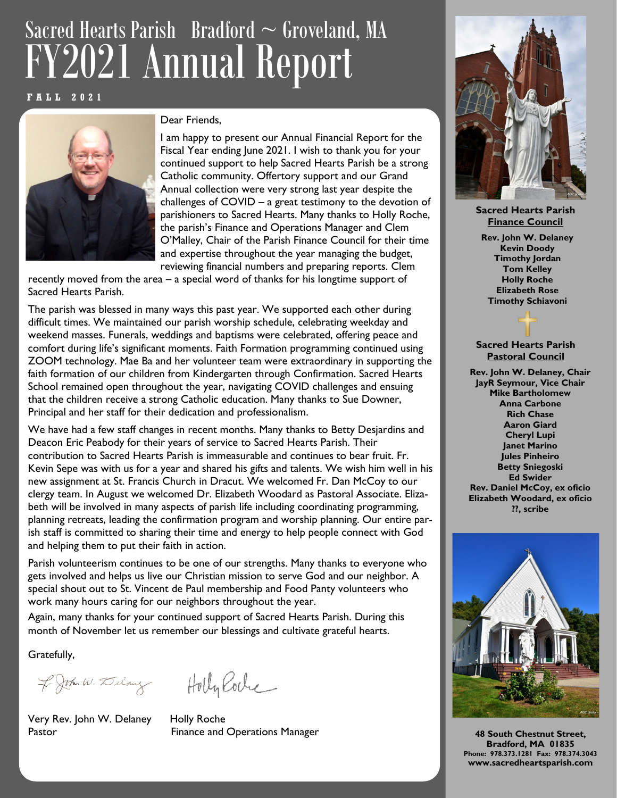# FY2021 Annual Report Sacred Hearts Parish Bradford  $\sim$  Groveland, MA

### **F A L L 2 0 2 1**



#### Dear Friends,

I am happy to present our Annual Financial Report for the Fiscal Year ending June 2021. I wish to thank you for your continued support to help Sacred Hearts Parish be a strong Catholic community. Offertory support and our Grand Annual collection were very strong last year despite the challenges of COVID – a great testimony to the devotion of parishioners to Sacred Hearts. Many thanks to Holly Roche, the parish's Finance and Operations Manager and Clem O'Malley, Chair of the Parish Finance Council for their time and expertise throughout the year managing the budget, reviewing financial numbers and preparing reports. Clem

recently moved from the area – a special word of thanks for his longtime support of Sacred Hearts Parish.

The parish was blessed in many ways this past year. We supported each other during difficult times. We maintained our parish worship schedule, celebrating weekday and weekend masses. Funerals, weddings and baptisms were celebrated, offering peace and comfort during life's significant moments. Faith Formation programming continued using ZOOM technology. Mae Ba and her volunteer team were extraordinary in supporting the faith formation of our children from Kindergarten through Confirmation. Sacred Hearts School remained open throughout the year, navigating COVID challenges and ensuing that the children receive a strong Catholic education. Many thanks to Sue Downer, Principal and her staff for their dedication and professionalism.

We have had a few staff changes in recent months. Many thanks to Betty Desjardins and Deacon Eric Peabody for their years of service to Sacred Hearts Parish. Their contribution to Sacred Hearts Parish is immeasurable and continues to bear fruit. Fr. Kevin Sepe was with us for a year and shared his gifts and talents. We wish him well in his new assignment at St. Francis Church in Dracut. We welcomed Fr. Dan McCoy to our clergy team. In August we welcomed Dr. Elizabeth Woodard as Pastoral Associate. Elizabeth will be involved in many aspects of parish life including coordinating programming, planning retreats, leading the confirmation program and worship planning. Our entire parish staff is committed to sharing their time and energy to help people connect with God and helping them to put their faith in action.

Parish volunteerism continues to be one of our strengths. Many thanks to everyone who gets involved and helps us live our Christian mission to serve God and our neighbor. A special shout out to St. Vincent de Paul membership and Food Panty volunteers who work many hours caring for our neighbors throughout the year.

Again, many thanks for your continued support of Sacred Hearts Parish. During this month of November let us remember our blessings and cultivate grateful hearts.

Gratefully,

F. John W. Dilang Holly Roche

Very Rev. John W. Delaney Holly Roche

Pastor **Pastor** Finance and Operations Manager



**Sacred Hearts Parish Finance Council**

**Rev. John W. Delaney Kevin Doody Timothy Jordan Tom Kelley Holly Roche Elizabeth Rose Timothy Schiavoni**

#### **Sacred Hearts Parish Pastoral Council**

**Rev. John W. Delaney, Chair JayR Seymour, Vice Chair Mike Bartholomew Anna Carbone Rich Chase Aaron Giard Cheryl Lupi Janet Marino Jules Pinheiro Betty Sniegoski Ed Swider Rev. Daniel McCoy, ex oficio Elizabeth Woodard, ex oficio ??, scribe**



**48 South Chestnut Street, Bradford, MA 01835 Phone: 978.373.1281 Fax: 978.374.3043 www.sacredheartsparish.com**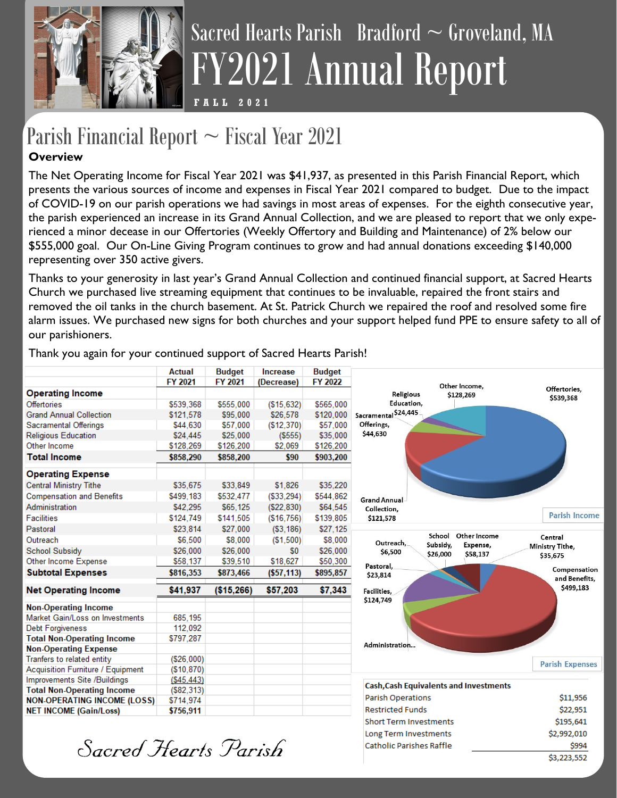

# FY2021 Annual Report **F A L L 2 0 2 1**  $Sacred$  Hearts Parish Bradford  $\sim$  Groveland, MA

### Parish Financial Report  $\sim$  Fiscal Year 2021

### **Overview**

The Net Operating Income for Fiscal Year 2021 was \$41,937, as presented in this Parish Financial Report, which presents the various sources of income and expenses in Fiscal Year 2021 compared to budget. Due to the impact of COVID-19 on our parish operations we had savings in most areas of expenses. For the eighth consecutive year, the parish experienced an increase in its Grand Annual Collection, and we are pleased to report that we only experienced a minor decease in our Offertories (Weekly Offertory and Building and Maintenance) of 2% below our \$555,000 goal. Our On-Line Giving Program continues to grow and had annual donations exceeding \$140,000 representing over 350 active givers.

Thanks to your generosity in last year's Grand Annual Collection and continued financial support, at Sacred Hearts Church we purchased live streaming equipment that continues to be invaluable, repaired the front stairs and removed the oil tanks in the church basement. At St. Patrick Church we repaired the roof and resolved some fire alarm issues. We purchased new signs for both churches and your support helped fund PPE to ensure safety to all of our parishioners.

Thank you again for your continued support of Sacred Hearts Parish!

|                                    | <b>Actual</b> | <b>Budget</b> | <b>Increase</b> | <b>Budget</b>  |                                                         |                               |
|------------------------------------|---------------|---------------|-----------------|----------------|---------------------------------------------------------|-------------------------------|
|                                    | FY 2021       | FY 2021       | (Decrease)      | <b>FY 2022</b> | Other Income,                                           | Offertories,                  |
| <b>Operating Income</b>            |               |               |                 |                | Religious<br>\$128,269                                  | \$539,368                     |
| <b>Offertories</b>                 | \$539,368     | \$555,000     | ( \$15,632)     | \$565,000      | Education,                                              |                               |
| <b>Grand Annual Collection</b>     | \$121,578     | \$95,000      | \$26,578        | \$120,000      | Sacramental \$24,445                                    |                               |
| Sacramental Offerings              | \$44,630      | \$57,000      | (\$12,370)      | \$57,000       | Offerings,                                              |                               |
| <b>Religious Education</b>         | \$24,445      | \$25,000      | (S555)          | \$35,000       | \$44,630                                                |                               |
| Other Income                       | \$128,269     | \$126,200     | \$2,069         | \$126,200      |                                                         |                               |
| <b>Total Income</b>                | \$858,290     | \$858,200     | \$90            | \$903,200      |                                                         |                               |
| <b>Operating Expense</b>           |               |               |                 |                |                                                         |                               |
| <b>Central Ministry Tithe</b>      | \$35,675      | \$33,849      | \$1,826         | \$35,220       |                                                         |                               |
| <b>Compensation and Benefits</b>   | \$499,183     | \$532,477     | ( \$33, 294)    | \$544,862      | <b>Grand Annual</b>                                     |                               |
| Administration                     | \$42,295      | \$65,125      | (\$22,830)      | \$64,545       | Collection,                                             |                               |
| <b>Facilities</b>                  | \$124,749     | \$141,505     | (\$16,756)      | \$139,805      | \$121,578                                               | <b>Parish Income</b>          |
| Pastoral                           | \$23,814      | \$27,000      | ( \$3, 186)     | \$27,125       |                                                         |                               |
| Outreach                           | \$6,500       | \$8,000       | ( \$1,500)      | \$8,000        | School<br>Other Income<br>Outreach,                     | Central                       |
| School Subsidy                     | \$26,000      | \$26,000      | \$0             | \$26,000       | Subsidy,<br>Expense,<br>\$6,500<br>\$26,000<br>\$58,137 | Ministry Tithe,<br>\$35,675   |
| Other Income Expense               | \$58,137      | \$39,510      | \$18,627        | \$50,300       | Pastoral,                                               |                               |
| <b>Subtotal Expenses</b>           | \$816,353     | \$873,466     | ( \$57, 113)    | \$895,857      | \$23,814                                                | Compensation<br>and Benefits, |
| <b>Net Operating Income</b>        | \$41,937      | (\$15,266)    | \$57,203        | \$7,343        | Facilities,                                             | \$499,183                     |
| <b>Non-Operating Income</b>        |               |               |                 |                | \$124,749                                               |                               |
| Market Gain/Loss on Investments    | 685.195       |               |                 |                |                                                         |                               |
| <b>Debt Forgiveness</b>            | 112,092       |               |                 |                |                                                         |                               |
| <b>Total Non-Operating Income</b>  | \$797,287     |               |                 |                |                                                         |                               |
| <b>Non-Operating Expense</b>       |               |               |                 |                | Administration                                          |                               |
| Tranfers to related entity         | ( \$26,000)   |               |                 |                |                                                         | <b>Parish Expenses</b>        |
| Acquisition Furniture / Equipment  | (S10.870)     |               |                 |                |                                                         |                               |
| Improvements Site /Buildings       | ( \$45,443)   |               |                 |                | <b>Cash, Cash Equivalents and Investments</b>           |                               |
| <b>Total Non-Operating Income</b>  | ( \$82, 313)  |               |                 |                | Parish Operations                                       | \$11,956                      |
| <b>NON-OPERATING INCOME (LOSS)</b> | \$714,974     |               |                 |                |                                                         |                               |
| <b>NET INCOME (Gain/Loss)</b>      | \$756,911     |               |                 |                | <b>Restricted Funds</b>                                 | \$22,951                      |
|                                    |               |               |                 |                | <b>Short Term Investments</b>                           | \$195,641                     |
|                                    |               |               |                 |                | Long Term Investments                                   | \$2,992,010                   |
| Sacred Hearts Parish               |               |               |                 |                | <b>Catholic Parishes Raffle</b>                         | \$994                         |
|                                    |               |               |                 |                |                                                         | \$3,223,552                   |